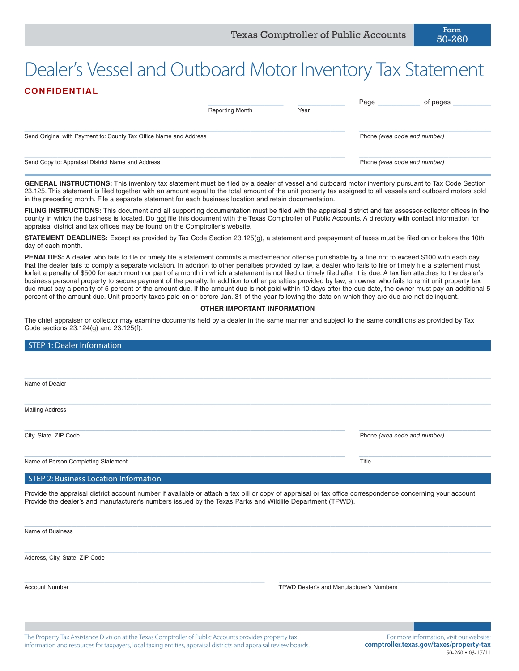# Dealer's Vessel and Outboard Motor Inventory Tax Statement **CONFIDENTIAL**

|                                                                   | <b>Reporting Month</b> | Year | Page | of pages                     |  |  |
|-------------------------------------------------------------------|------------------------|------|------|------------------------------|--|--|
| Send Original with Payment to: County Tax Office Name and Address |                        |      |      | Phone (area code and number) |  |  |
| Send Copy to: Appraisal District Name and Address                 |                        |      |      | Phone (area code and number) |  |  |

**GENERAL INSTRUCTIONS:** This inventory tax statement must be filed by a dealer of vessel and outboard motor inventory pursuant to Tax Code Section 23.125. This statement is filed together with an amount equal to the total amount of the unit property tax assigned to all vessels and outboard motors sold in the preceding month. File a separate statement for each business location and retain documentation.

FILING INSTRUCTIONS: This document and all supporting documentation must be filed with the appraisal district and tax assessor-collector offices in the county in which the business is located. Do not file this document with the Texas Comptroller of Public Accounts. A directory with contact information for appraisal district and tax offices may be found on the Comptroller's website.

**STATEMENT DEADLINES:** Except as provided by Tax Code Section 23.125(g), a statement and prepayment of taxes must be filed on or before the 10th day of each month.

**PENALTIES:** A dealer who fails to file or timely file a statement commits a misdemeanor offense punishable by a fine not to exceed \$100 with each day that the dealer fails to comply a separate violation. In addition to other penalties provided by law, a dealer who fails to file or timely file a statement must forfeit a penalty of \$500 for each month or part of a month in which a statement is not filed or timely filed after it is due. A tax lien attaches to the dealer's business personal property to secure payment of the penalty. In addition to other penalties provided by law, an owner who fails to remit unit property tax due must pay a penalty of 5 percent of the amount due. If the amount due is not paid within 10 days after the due date, the owner must pay an additional 5 percent of the amount due. Unit property taxes paid on or before Jan. 31 of the year following the date on which they are due are not delinquent.

#### **OTHER IMPORTANT INFORMATION**

The chief appraiser or collector may examine documents held by a dealer in the same manner and subject to the same conditions as provided by Tax Code sections 23.124(g) and 23.125(f).

| STEP 1: Dealer Information            |                              |
|---------------------------------------|------------------------------|
|                                       |                              |
|                                       |                              |
| Name of Dealer                        |                              |
|                                       |                              |
| <b>Mailing Address</b>                |                              |
|                                       |                              |
| City, State, ZIP Code                 | Phone (area code and number) |
| Name of Person Completing Statement   | Title                        |
|                                       |                              |
| STEP 2: Business Location Information |                              |

 $\_$  , and the set of the set of the set of the set of the set of the set of the set of the set of the set of the set of the set of the set of the set of the set of the set of the set of the set of the set of the set of th

 $\_$  , and the set of the set of the set of the set of the set of the set of the set of the set of the set of the set of the set of the set of the set of the set of the set of the set of the set of the set of the set of th

\_\_\_\_\_\_\_\_\_\_\_\_\_\_\_\_\_\_\_\_\_\_\_\_\_\_\_\_\_\_\_\_\_\_\_\_\_\_\_\_\_\_\_\_\_\_\_\_\_\_\_ \_\_\_\_\_\_\_\_\_\_\_\_\_\_\_\_\_\_\_\_\_\_\_\_\_\_\_\_\_\_\_\_\_\_\_\_\_\_\_\_\_\_\_\_\_

Provide the appraisal district account number if available or attach a tax bill or copy of appraisal or tax office correspondence concerning your account. Provide the dealer's and manufacturer's numbers issued by the Texas Parks and Wildlife Department (TPWD).

Name of Business

Address, City, State, ZIP Code

Account Number TPWD Dealer's and Manufacturer's Numbers

The Property Tax Assistance Division at the Texas Comptroller of Public Accounts provides property tax information and resources for taxpayers, local taxing entities, appraisal districts and appraisal review boards.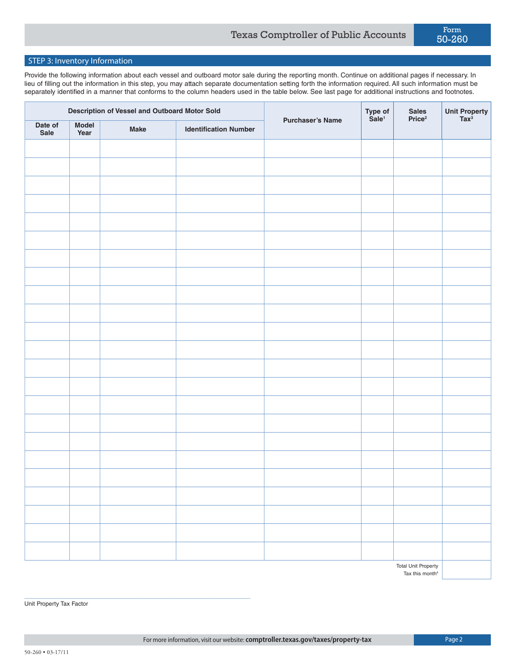## STEP 3: Inventory Information

Provide the following information about each vessel and outboard motor sale during the reporting month. Continue on additional pages if necessary. In lieu of filling out the information in this step, you may attach separate documentation setting forth the information required. All such information must be separately identified in a manner that conforms to the column headers used in the table below. See last page for additional instructions and footnotes.

| Date of<br><b>Model</b><br><b>Make</b><br><b>Identification Number</b><br>Sale<br>Year | Description of Vessel and Outboard Motor Sold |  | <b>Purchaser's Name</b> | Type of<br>Sale <sup>1</sup> | Sales<br>Price <sup>2</sup> | Unit Property<br>Tax <sup>3</sup> |  |
|----------------------------------------------------------------------------------------|-----------------------------------------------|--|-------------------------|------------------------------|-----------------------------|-----------------------------------|--|
|                                                                                        |                                               |  |                         |                              |                             |                                   |  |
|                                                                                        |                                               |  |                         |                              |                             |                                   |  |
|                                                                                        |                                               |  |                         |                              |                             |                                   |  |
|                                                                                        |                                               |  |                         |                              |                             |                                   |  |
|                                                                                        |                                               |  |                         |                              |                             |                                   |  |
|                                                                                        |                                               |  |                         |                              |                             |                                   |  |
|                                                                                        |                                               |  |                         |                              |                             |                                   |  |
|                                                                                        |                                               |  |                         |                              |                             |                                   |  |
|                                                                                        |                                               |  |                         |                              |                             |                                   |  |
|                                                                                        |                                               |  |                         |                              |                             |                                   |  |
|                                                                                        |                                               |  |                         |                              |                             |                                   |  |
|                                                                                        |                                               |  |                         |                              |                             |                                   |  |
|                                                                                        |                                               |  |                         |                              |                             |                                   |  |
|                                                                                        |                                               |  |                         |                              |                             |                                   |  |
|                                                                                        |                                               |  |                         |                              |                             |                                   |  |
|                                                                                        |                                               |  |                         |                              |                             |                                   |  |
|                                                                                        |                                               |  |                         |                              |                             |                                   |  |
|                                                                                        |                                               |  |                         |                              |                             |                                   |  |
|                                                                                        |                                               |  |                         |                              |                             |                                   |  |
|                                                                                        |                                               |  |                         |                              |                             |                                   |  |
|                                                                                        |                                               |  |                         |                              |                             |                                   |  |
|                                                                                        |                                               |  |                         |                              |                             |                                   |  |
|                                                                                        |                                               |  |                         |                              |                             |                                   |  |
| <b>Total Unit Property</b>                                                             |                                               |  |                         |                              |                             |                                   |  |

Tax this month<sup>4</sup>

\_\_\_\_\_\_\_\_\_\_\_\_\_\_\_\_\_\_\_\_\_\_\_\_\_\_\_\_\_\_\_\_\_\_\_\_\_\_\_\_\_\_\_\_\_\_\_\_ Unit Property Tax Factor